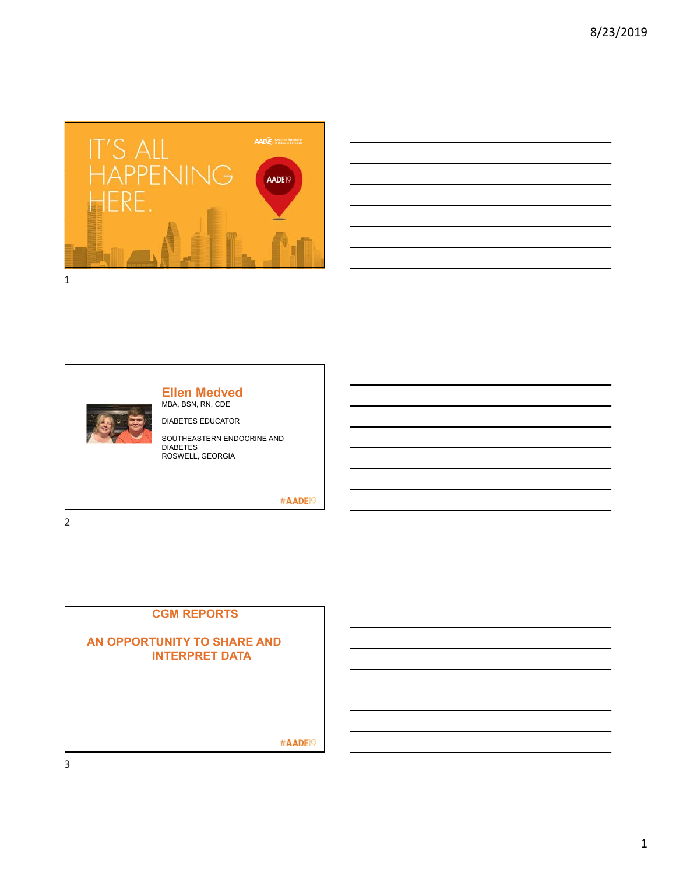



#### **Ellen Medved** MBA, BSN, RN, CDE

DIABETES EDUCATOR

SOUTHEASTERN ENDOCRINE AND **DIABETES** ROSWELL, GEORGIA

#AADE<sup>19</sup>

2

# **CGM REPORTS**

#### **AN OPPORTUNITY TO SHARE AND INTERPRET DATA**

#AADE<sup>19</sup>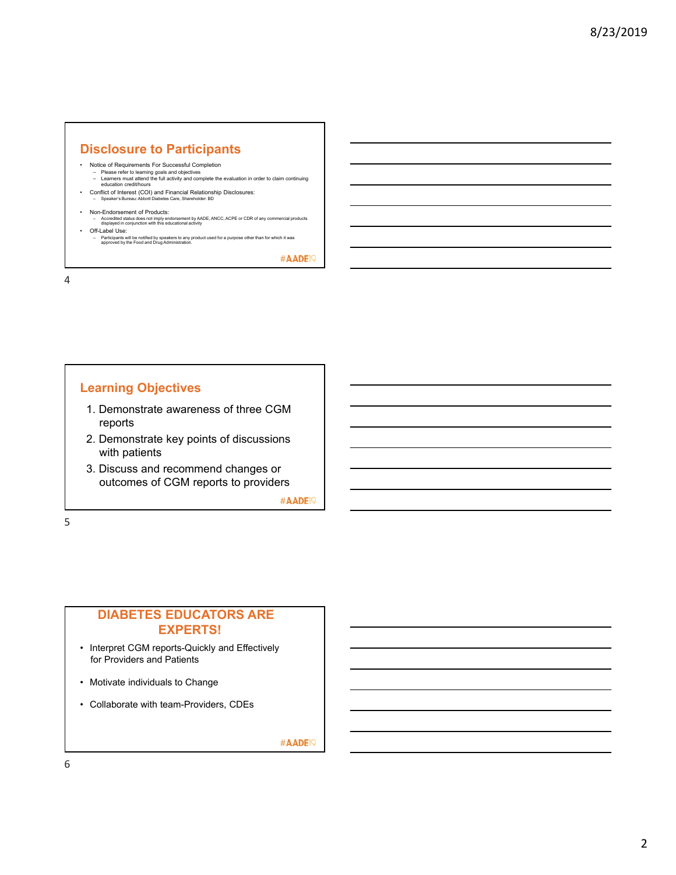# **Disclosure to Participants**

- 
- Notice of Requirements For Successful Completion Please refer to learning goals and objectives Learners must attend the full activity and complete the evaluation in order to claim continuing education credit/hours
- Conflict of Interest (COI) and Financial Relationship Disclosures: Speaker's Bureau: Abbott Diabetes Care, Shareholder: BD
- 
- Non-Endorsement of Products:<br>
 Accredited status does not imply endorsement by AADE, ANCC, ACPE or CDR of any commercial products<br>
displayed in conjunction with this educational activity<br>
 Off-Label Use:
	- Participants will be notified by speakers to any product used for a purpose other than for which it was approved by the Food and Drug Administration.

#AADE<sup>19</sup>

4

#### **Learning Objectives**

- 1. Demonstrate awareness of three CGM reports
- 2. Demonstrate key points of discussions with patients
- 3. Discuss and recommend changes or outcomes of CGM reports to providers

#AADE<sup>19</sup>

5

# **DIABETES EDUCATORS ARE EXPERTS!**

- Interpret CGM reports-Quickly and Effectively for Providers and Patients
- Motivate individuals to Change
- Collaborate with team-Providers, CDEs

#AADE<sup>19</sup>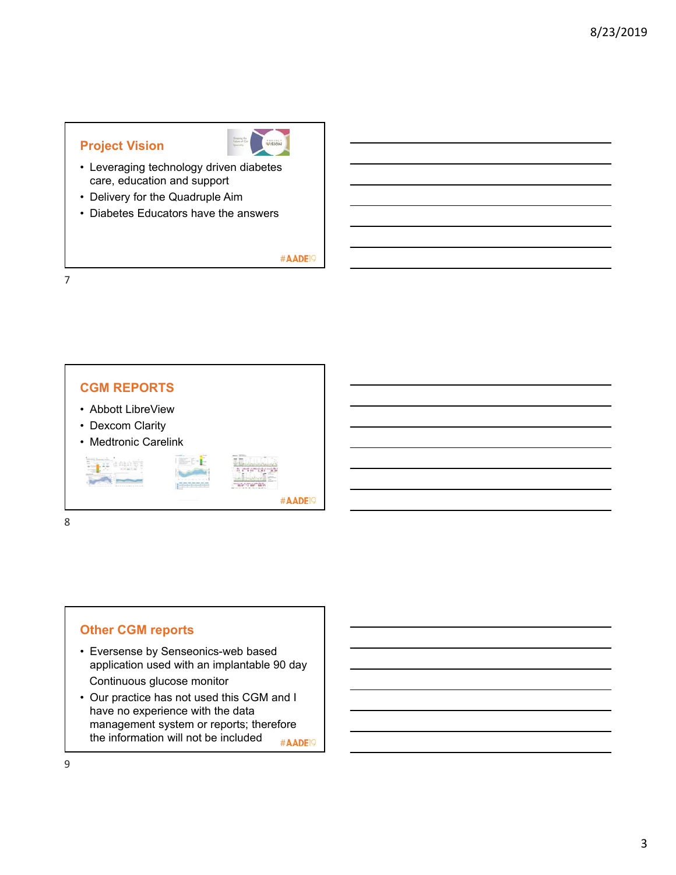# **Project Vision**



- Leveraging technology driven diabetes care, education and support
- Delivery for the Quadruple Aim
- Diabetes Educators have the answers

#AADE<sup>19</sup>

7



## **Other CGM reports**

- Eversense by Senseonics-web based application used with an implantable 90 day Continuous glucose monitor
- Our practice has not used this CGM and I have no experience with the data management system or reports; therefore the information will not be included #AADE<sup>19</sup>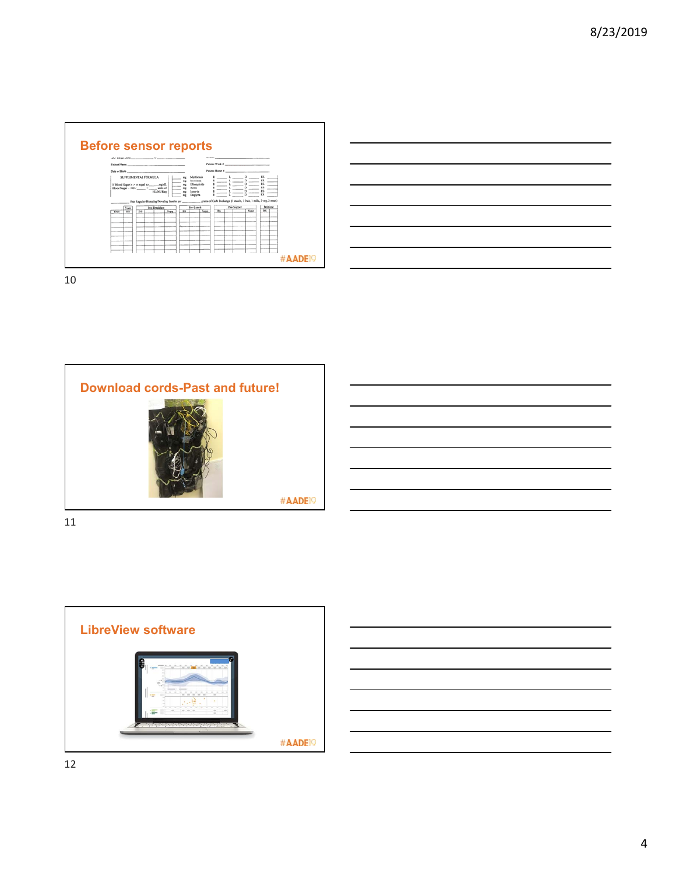









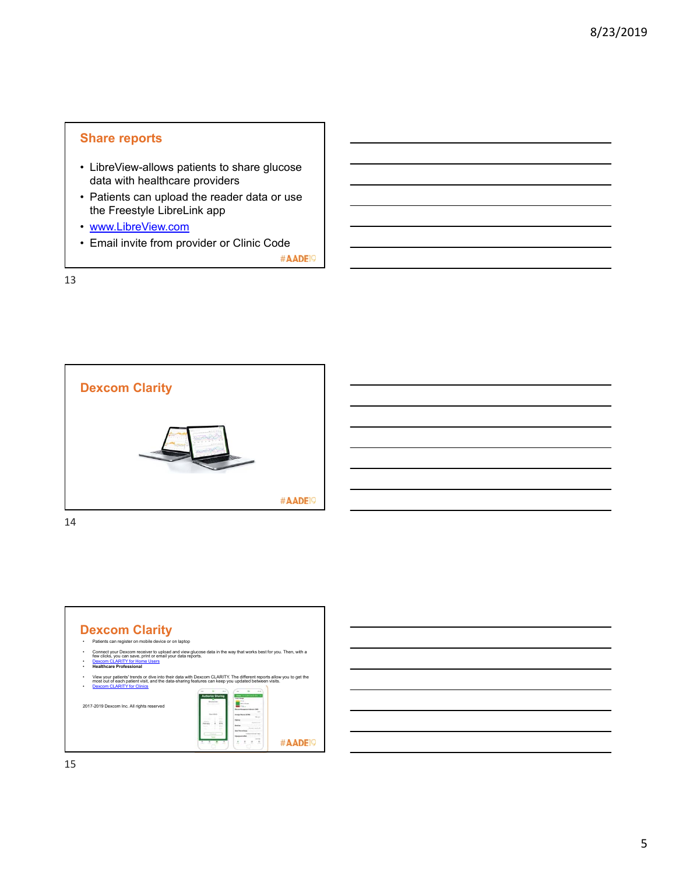# **Share reports**

- LibreView-allows patients to share glucose data with healthcare providers
- Patients can upload the reader data or use the Freestyle LibreLink app
- www.LibreView.com
- Email invite from provider or Clinic Code

#AADE<sup>19</sup>

13



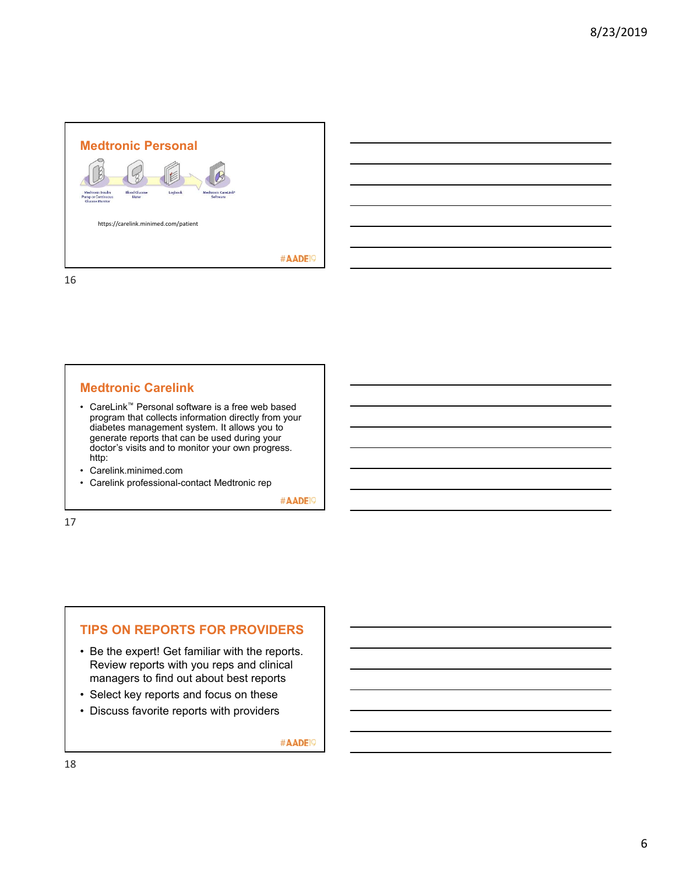

#### **Medtronic Carelink**

- CareLink™ Personal software is a free web based program that collects information directly from your diabetes management system. It allows you to generate reports that can be used during your doctor's visits and to monitor your own progress. http:
- Carelink.minimed.com
- Carelink professional-contact Medtronic rep

#AADE<sup>19</sup>

17

### **TIPS ON REPORTS FOR PROVIDERS**

- Be the expert! Get familiar with the reports. Review reports with you reps and clinical managers to find out about best reports
- Select key reports and focus on these
- Discuss favorite reports with providers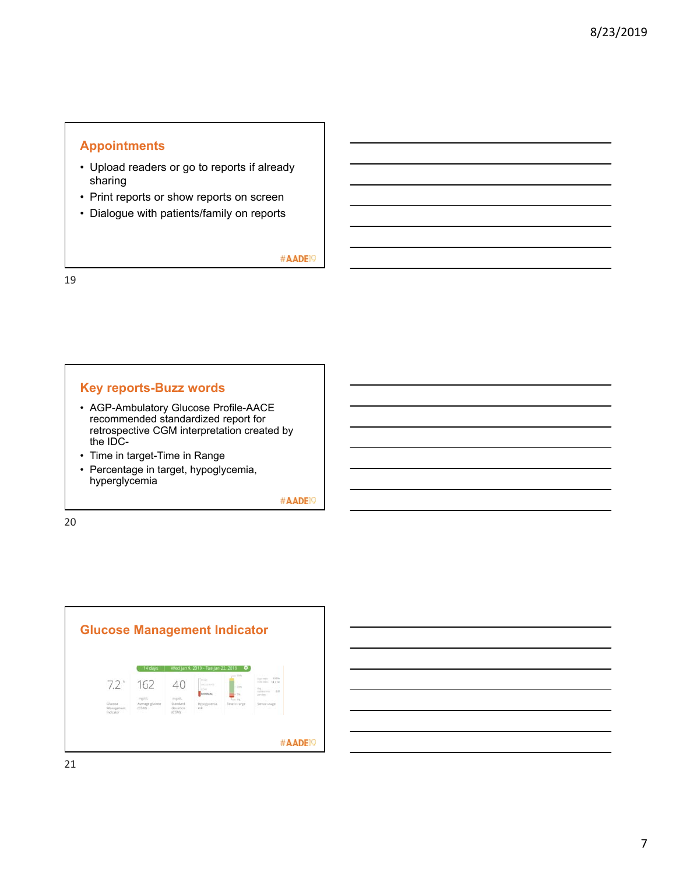### **Appointments**

- Upload readers or go to reports if already sharing
- Print reports or show reports on screen
- Dialogue with patients/family on reports

#AADE<sup>19</sup>

19

#### **Key reports-Buzz words**

- AGP-Ambulatory Glucose Profile-AACE recommended standardized report for retrospective CGM interpretation created by the IDC-
- Time in target-Time in Range
- Percentage in target, hypoglycemia, hyperglycemia

#AADE<sup>19</sup>

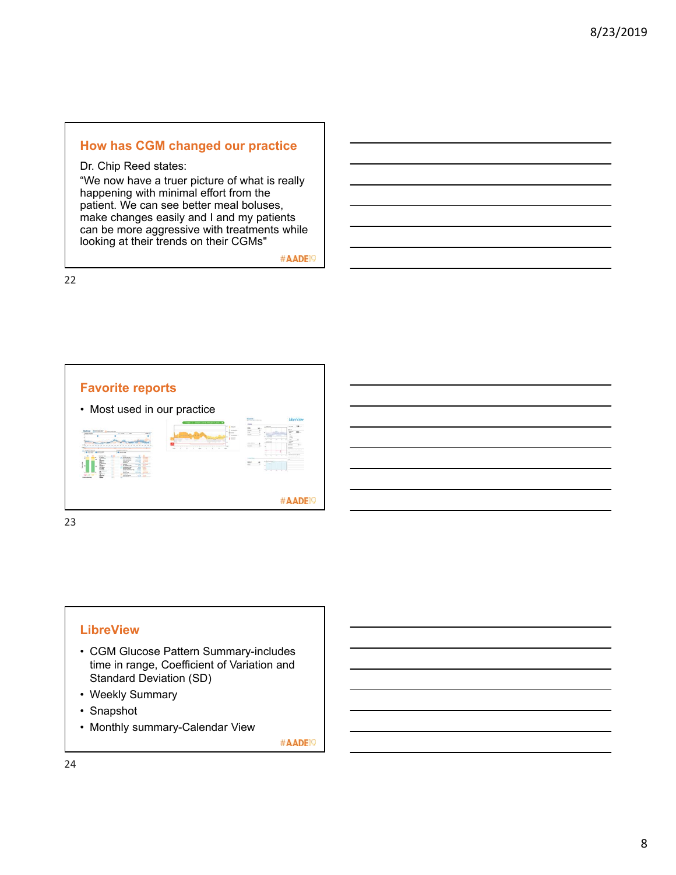## **How has CGM changed our practice**

Dr. Chip Reed states:

"We now have a truer picture of what is really happening with minimal effort from the patient. We can see better meal boluses, make changes easily and I and my patients can be more aggressive with treatments while looking at their trends on their CGMs"

#AADE<sup>19</sup>

22



23

#### **LibreView**

- CGM Glucose Pattern Summary-includes time in range, Coefficient of Variation and Standard Deviation (SD)
- Weekly Summary
- Snapshot
- Monthly summary-Calendar View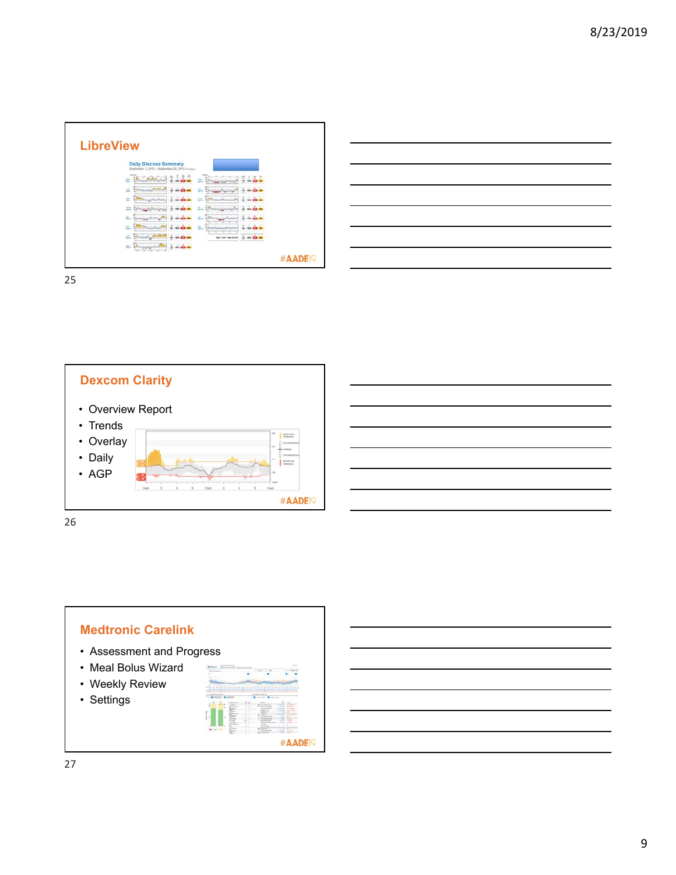| <b>Daily Glucose Summary</b><br>September 7, 2015 - September 20, 2015 (14 mon)<br>$2 - 4$<br>$E = 1$<br>÷<br>Ź<br>Ξ<br>÷<br>Ξ<br>e.<br>₩.<br>×<br>a.<br>m<br>Ξ.<br>٠<br><b>MN EZZ IM</b><br>$\lambda = 0.1$<br>in the<br>ă<br>瓢<br>m.<br>÷<br>an ain an<br>٠<br>m<br>z.<br>÷<br>ň.<br>Ξ.<br>÷<br>τ.<br>÷<br>w<br>z.<br>뇌<br>m.<br><b>MAY</b><br>pis<br>٠<br><b>SING ELS</b><br>$-11$<br>$\sim$ $\sim$ $\sim$<br>2<br>и.<br><b>Nort And-North Inn</b> | <b>LibreView</b> |                     |  |
|-------------------------------------------------------------------------------------------------------------------------------------------------------------------------------------------------------------------------------------------------------------------------------------------------------------------------------------------------------------------------------------------------------------------------------------------------------|------------------|---------------------|--|
|                                                                                                                                                                                                                                                                                                                                                                                                                                                       |                  |                     |  |
|                                                                                                                                                                                                                                                                                                                                                                                                                                                       |                  |                     |  |
|                                                                                                                                                                                                                                                                                                                                                                                                                                                       |                  |                     |  |
|                                                                                                                                                                                                                                                                                                                                                                                                                                                       |                  |                     |  |
|                                                                                                                                                                                                                                                                                                                                                                                                                                                       |                  |                     |  |
|                                                                                                                                                                                                                                                                                                                                                                                                                                                       |                  |                     |  |
|                                                                                                                                                                                                                                                                                                                                                                                                                                                       |                  |                     |  |
|                                                                                                                                                                                                                                                                                                                                                                                                                                                       |                  |                     |  |
|                                                                                                                                                                                                                                                                                                                                                                                                                                                       |                  | tion and<br>u.<br>٠ |  |
|                                                                                                                                                                                                                                                                                                                                                                                                                                                       |                  |                     |  |



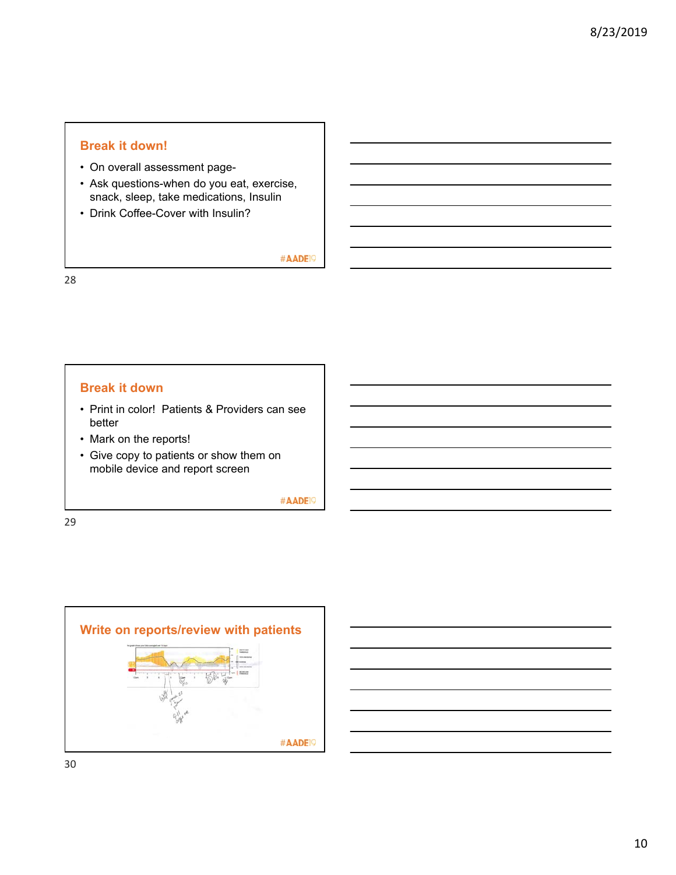#### **Break it down!**

- On overall assessment page-
- Ask questions-when do you eat, exercise, snack, sleep, take medications, Insulin
- Drink Coffee-Cover with Insulin?

#AADE<sup>19</sup>

28

#### **Break it down**

- Print in color! Patients & Providers can see better
- Mark on the reports!
- Give copy to patients or show them on mobile device and report screen

#AADE<sup>19</sup>



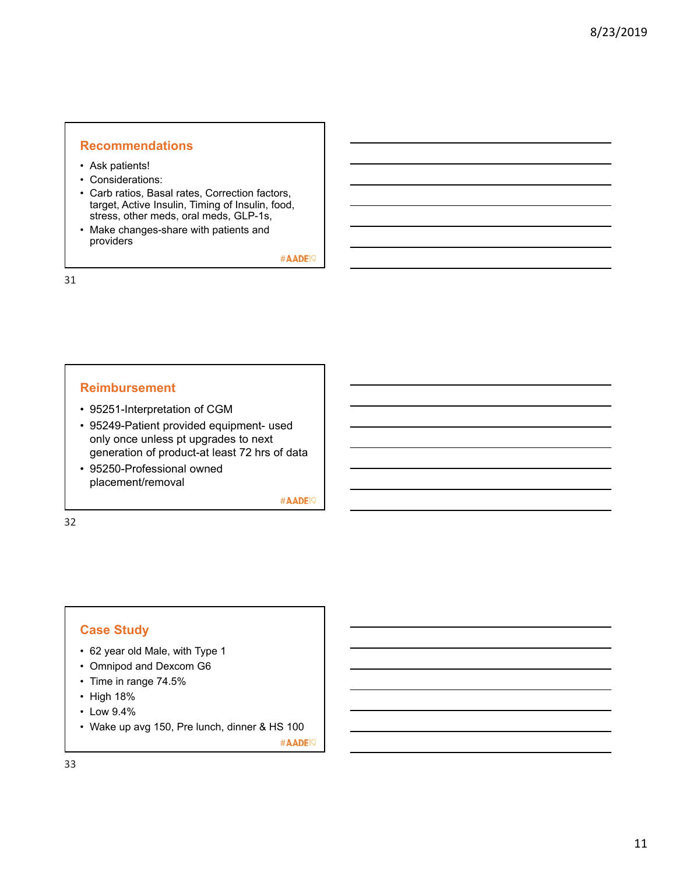### **Recommendations**

- Ask patients!
- Considerations:
- Carb ratios, Basal rates, Correction factors, target, Active Insulin, Timing of Insulin, food, stress, other meds, oral meds, GLP-1s,
- Make changes-share with patients and providers

#AADE<sup>19</sup>

31

#### **Reimbursement**

- 95251-Interpretation of CGM
- 95249-Patient provided equipment- used only once unless pt upgrades to next generation of product-at least 72 hrs of data
- 95250-Professional owned placement/removal

#AADE<sup>19</sup>

32

#### **Case Study**

- 62 year old Male, with Type 1
- Omnipod and Dexcom G6
- Time in range 74.5%
- High 18%
- Low 9.4%
- Wake up avg 150, Pre lunch, dinner & HS 100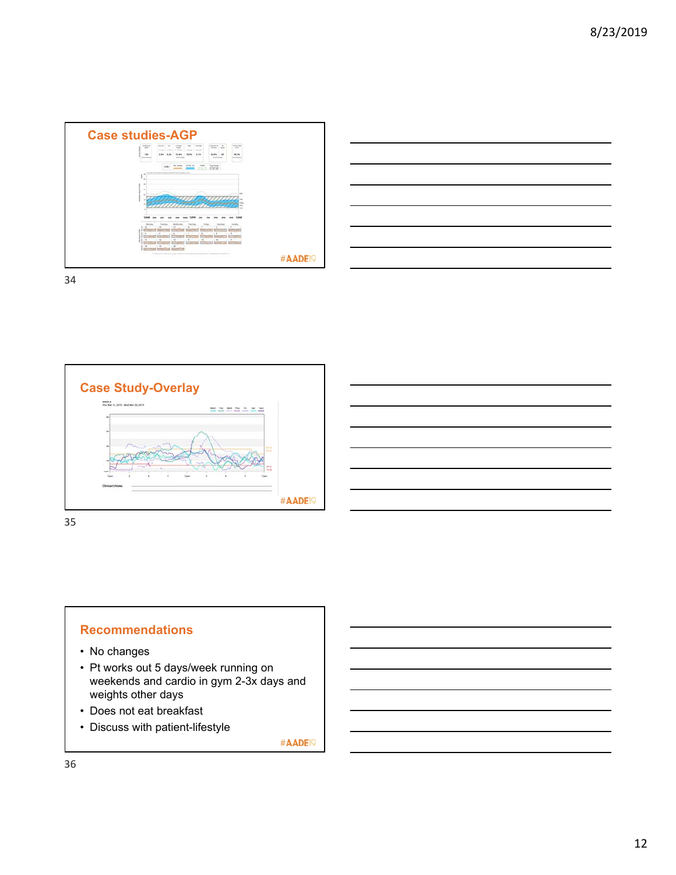





#### **Recommendations**

- No changes
- Pt works out 5 days/week running on weekends and cardio in gym 2-3x days and weights other days
- Does not eat breakfast
- Discuss with patient-lifestyle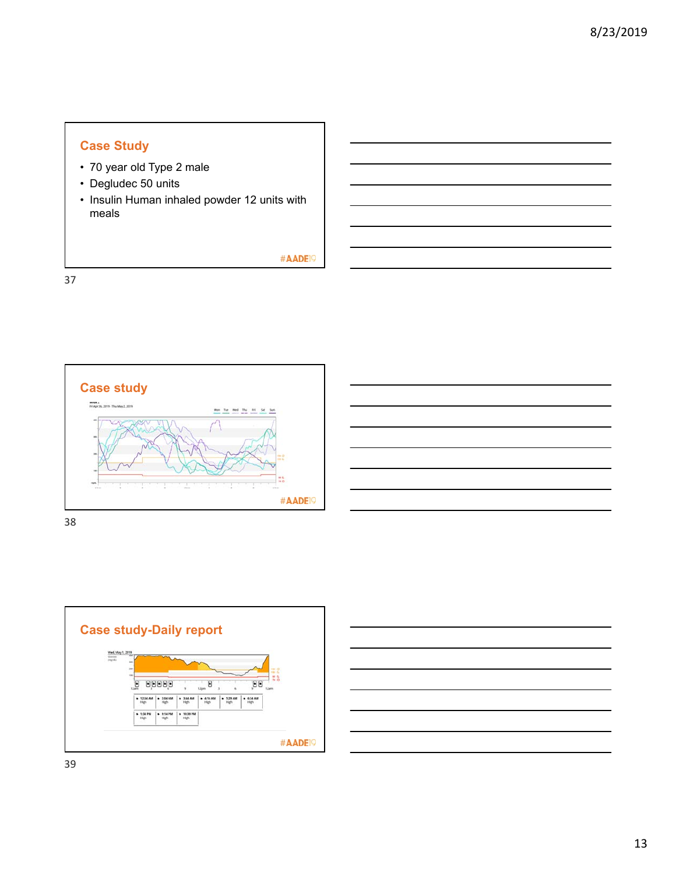# **Case Study**

- 70 year old Type 2 male
- Degludec 50 units
- Insulin Human inhaled powder 12 units with meals

#AADE19

37



38



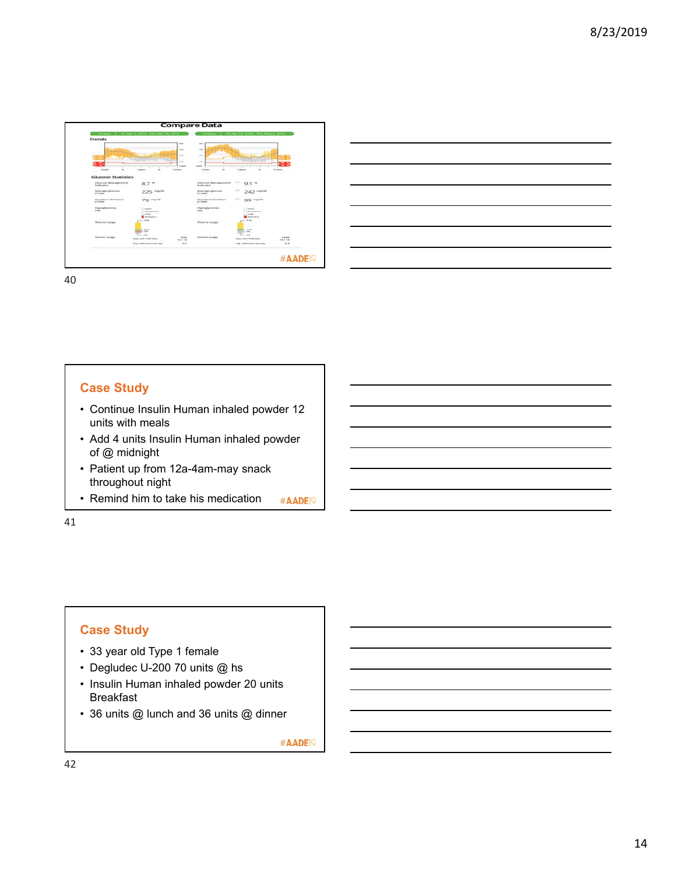



# **Case Study**

- Continue Insulin Human inhaled powder 12 units with meals
- Add 4 units Insulin Human inhaled powder of @ midnight
- Patient up from 12a-4am-may snack throughout night
- Remind him to take his medication #AADE<sup>19</sup>

41

## **Case Study**

- 33 year old Type 1 female
- Degludec U-200 70 units @ hs
- Insulin Human inhaled powder 20 units Breakfast
- 36 units @ lunch and 36 units @ dinner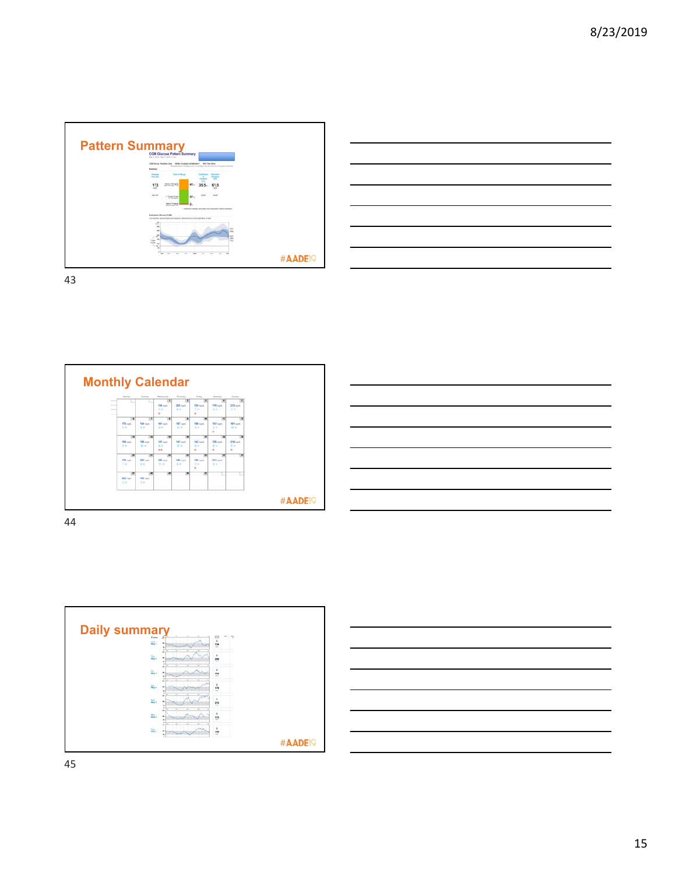







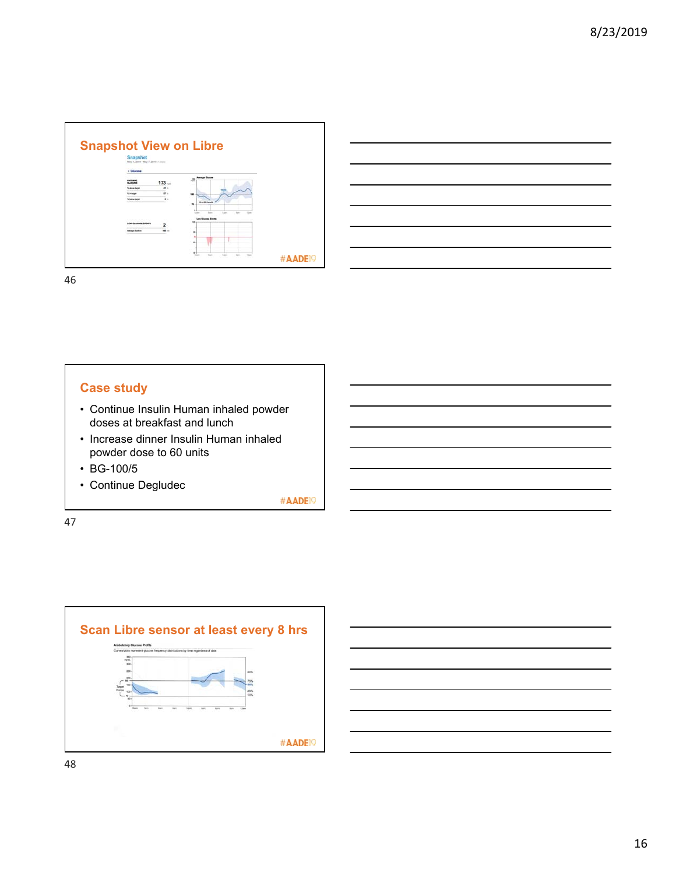



# **Case study**

- Continue Insulin Human inhaled powder doses at breakfast and lunch
- Increase dinner Insulin Human inhaled powder dose to 60 units
- BG-100/5
- Continue Degludec

#AADE<sup>19</sup>

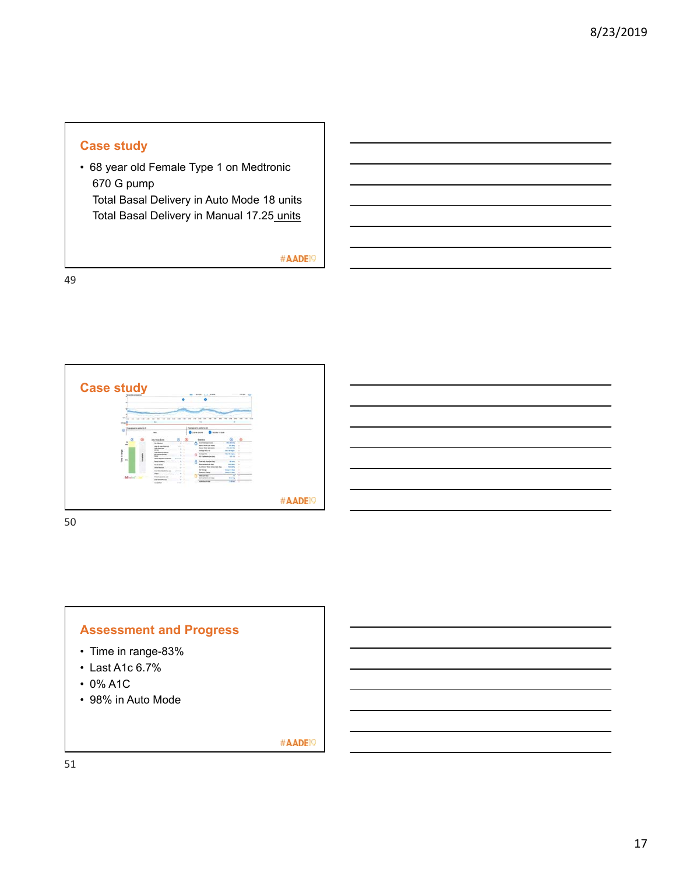# **Case study**

• 68 year old Female Type 1 on Medtronic 670 G pump Total Basal Delivery in Auto Mode 18 units

Total Basal Delivery in Manual 17.25 units

#AADE<sup>19</sup>

49



50



- Time in range-83%
- Last A1c 6.7%
- 0% A1C
- 98% in Auto Mode

#AADE<sup>19</sup>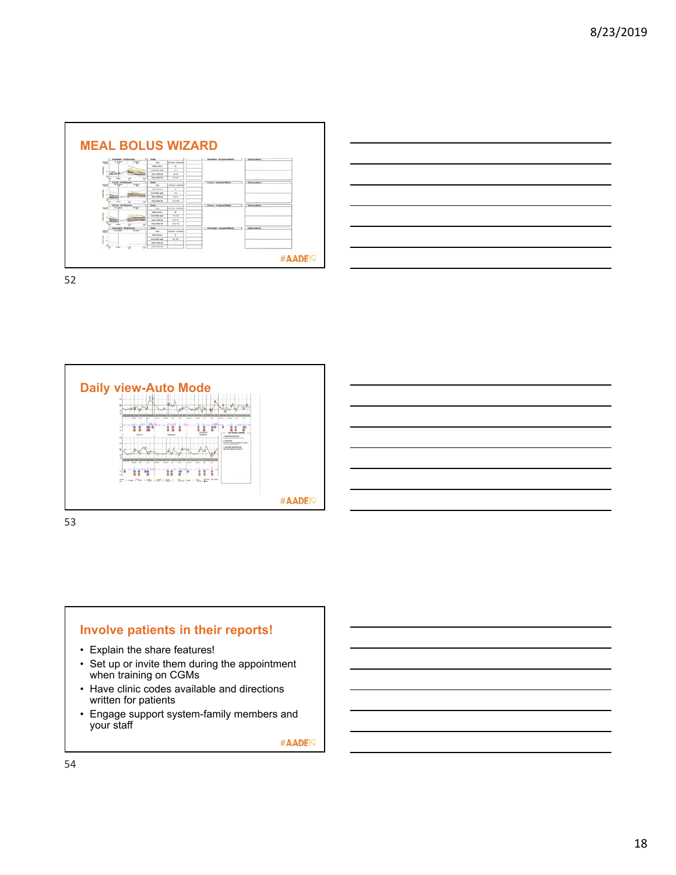







# **Involve patients in their reports!**

- Explain the share features!
- Set up or invite them during the appointment when training on CGMs
- Have clinic codes available and directions written for patients
- Engage support system-family members and your staff